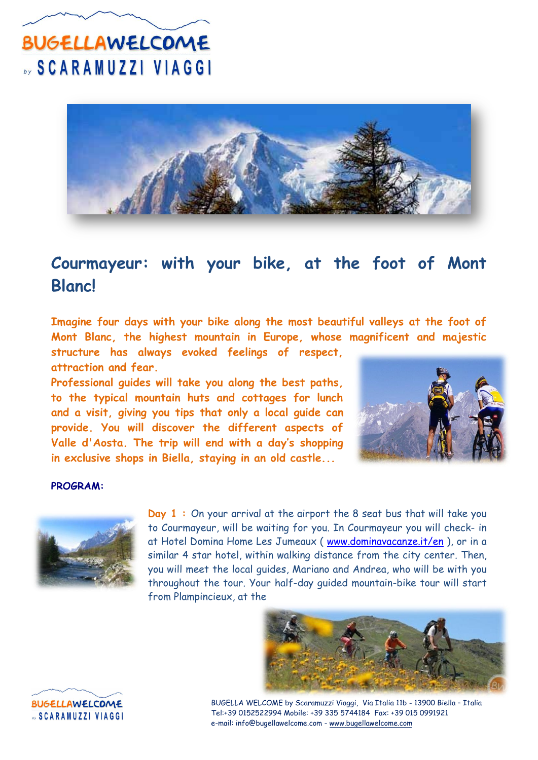

### **Courmayeur: with your bike, at the foot of Mont Blanc!**

**Imagine four days with your bike along the most beautiful valleys at the foot of Mont Blanc, the highest mountain in Europe, whose magnificent and majestic** 

**structure has always evoked feelings of respect, attraction and fear.**

**Professional guides will take you along the best paths, to the typical mountain huts and cottages for lunch and a visit, giving you tips that only a local guide can provide. You will discover the different aspects of Valle d'Aosta. The trip will end with a day's shopping in exclusive shops in Biella, staying in an old castle...**



#### **PROGRAM:**



**Day 1 :** On your arrival at the airport the 8 seat bus that will take you to Courmayeur, will be waiting for you. In Courmayeur you will check- in at Hotel Domina Home Les Jumeaux ( [www.dominavacanze.it/en](http://www.dominavacanze.it/en) ), or in a similar 4 star hotel, within walking distance from the city center. Then, you will meet the local guides, Mariano and Andrea, who will be with you throughout the tour. Your half-day guided mountain-bike tour will start from Plampincieux, at the





BUGELLA WELCOME by Scaramuzzi Viaggi, Via Italia 11b - 13900 Biella – Italia Tel:+39 0152522994 Mobile: +39 335 5744184 Fax: +39 015 0991921 e-mail: info@bugellawelcome.com - www.bugellawelcome.com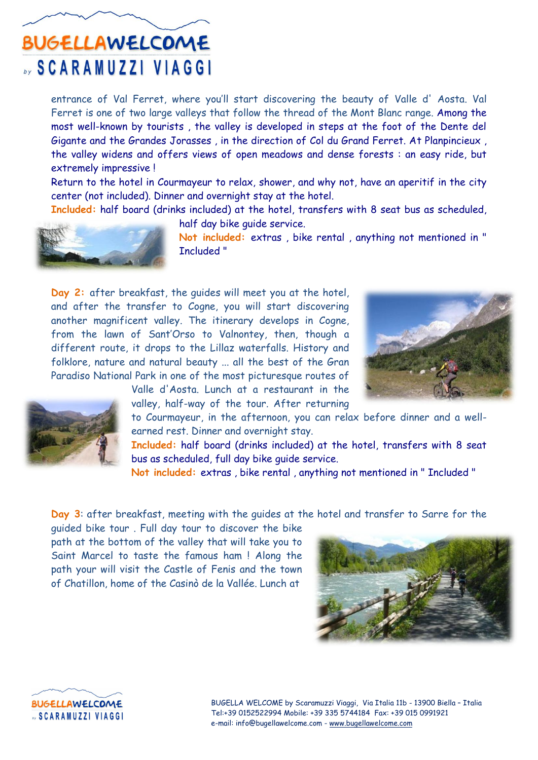entrance of Val Ferret, where you'll start discovering the beauty of Valle d' Aosta. Val Ferret is one of two large valleys that follow the thread of the Mont Blanc range. Among the most well-known by tourists , the valley is developed in steps at the foot of the Dente del Gigante and the Grandes Jorasses , in the direction of Col du Grand Ferret. At Planpincieux , the valley widens and offers views of open meadows and dense forests : an easy ride, but extremely impressive !

Return to the hotel in Courmayeur to relax, shower, and why not, have an aperitif in the city center (not included). Dinner and overnight stay at the hotel.

**Included:** half board (drinks included) at the hotel, transfers with 8 seat bus as scheduled,

half day bike guide service.



**Not included:** extras , bike rental , anything not mentioned in " Included "

**Day 2:** after breakfast, the guides will meet you at the hotel, and after the transfer to Cogne, you will start discovering another magnificent valley. The itinerary develops in Cogne, from the lawn of Sant'Orso to Valnontey, then, though a different route, it drops to the Lillaz waterfalls. History and folklore, nature and natural beauty ... all the best of the Gran Paradiso National Park in one of the most picturesque routes of





Valle d'Aosta. Lunch at a restaurant in the valley, half-way of the tour. After returning

to Courmayeur, in the afternoon, you can relax before dinner and a wellearned rest. Dinner and overnight stay.

**Included:** half board (drinks included) at the hotel, transfers with 8 seat bus as scheduled, full day bike guide service.

**Not included:** extras , bike rental , anything not mentioned in " Included "

**Day 3**: after breakfast, meeting with the guides at the hotel and transfer to Sarre for the

guided bike tour . Full day tour to discover the bike path at the bottom of the valley that will take you to Saint Marcel to taste the famous ham ! Along the path your will visit the Castle of Fenis and the town of Chatillon, home of the Casinò de la Vallée. Lunch at



**BUGELLAWELCOME SCARAMUZZI VIAGGI** 

BUGELLA WELCOME by Scaramuzzi Viaggi, Via Italia 11b - 13900 Biella – Italia Tel:+39 0152522994 Mobile: +39 335 5744184 Fax: +39 015 0991921 e-mail: info@bugellawelcome.com - www.bugellawelcome.com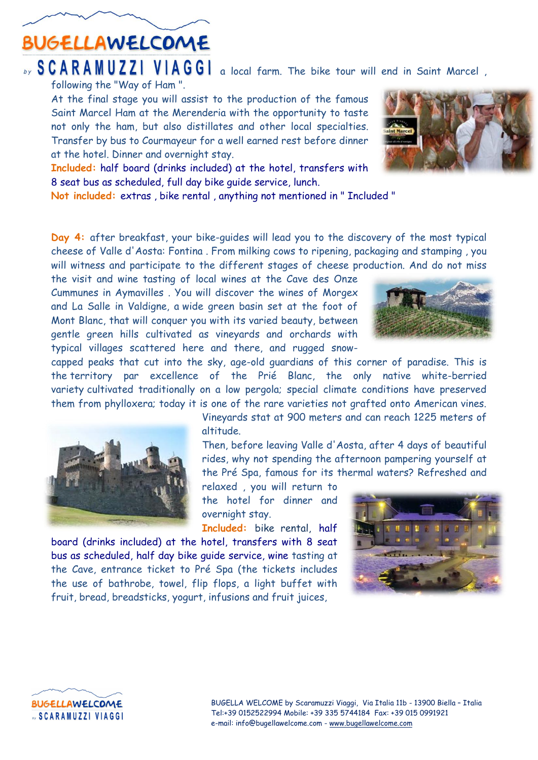### **BUGELLAWELCOME**

#### by SCARAMUZZI VIAGGI a local farm. The bike tour will end in Saint Marcel, following the "Way of Ham ".

At the final stage you will assist to the production of the famous Saint Marcel Ham at the Merenderia with the opportunity to taste not only the ham, but also distillates and other local specialties. Transfer by bus to Courmayeur for a well earned rest before dinner at the hotel. Dinner and overnight stay.

**Included:** half board (drinks included) at the hotel, transfers with 8 seat bus as scheduled, full day bike guide service, lunch.

**Not included:** extras , bike rental , anything not mentioned in " Included "

**Day 4:** after breakfast, your bike-guides will lead you to the discovery of the most typical cheese of Valle d'Aosta: Fontina . From milking cows to ripening, packaging and stamping , you will witness and participate to the different stages of cheese production. And do not miss

the visit and wine tasting of local wines at the Cave des Onze Cummunes in Aymavilles . You will discover the wines of Morgex and La Salle in Valdigne, a wide green basin set at the foot of Mont Blanc, that will conquer you with its varied beauty, between gentle green hills cultivated as vineyards and orchards with typical villages scattered here and there, and rugged snow-

capped peaks that cut into the sky, age-old guardians of this corner of paradise. This is the territory par excellence of the Prié Blanc, the only native white-berried variety cultivated traditionally on a low pergola; special climate conditions have preserved them from phylloxera; today it is one of the rare varieties not grafted onto American vines.

> Vineyards stat at 900 meters and can reach 1225 meters of altitude.

> Then, before leaving Valle d'Aosta, after 4 days of beautiful rides, why not spending the afternoon pampering yourself at the Pré Spa, famous for its thermal waters? Refreshed and

relaxed , you will return to the hotel for dinner and overnight stay.

**Included:** bike rental, half

board (drinks included) at the hotel, transfers with 8 seat bus as scheduled, half day bike guide service, wine tasting at the Cave, entrance ticket to Pré Spa (the tickets includes the use of bathrobe, towel, flip flops, a light buffet with fruit, bread, breadsticks, yogurt, infusions and fruit juices,







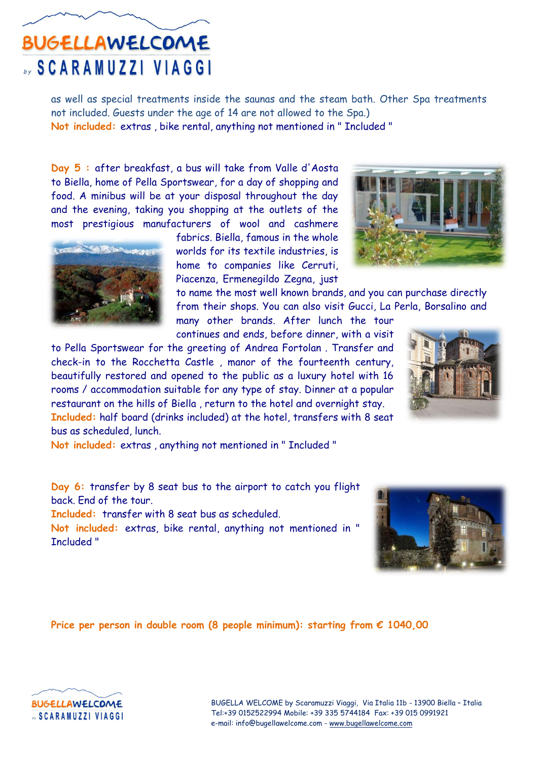as well as special treatments inside the saunas and the steam bath. Other Spa treatments not included. Guests under the age of 14 are not allowed to the Spa.) **Not included:** extras , bike rental, anything not mentioned in " Included "

**Day 5 :** after breakfast, a bus will take from Valle d'Aosta to Biella, home of Pella Sportswear, for a day of shopping and food. A minibus will be at your disposal throughout the day and the evening, taking you shopping at the outlets of the most prestigious manufacturers of wool and cashmere

> fabrics. Biella, famous in the whole worlds for its textile industries, is home to companies like Cerruti, Piacenza, Ermenegildo Zegna, just

to name the most well known brands, and you can purchase directly from their shops. You can also visit Gucci, La Perla, Borsalino and

many other brands. After lunch the tour continues and ends, before dinner, with a visit

to Pella Sportswear for the greeting of Andrea Fortolan . Transfer and check-in to the Rocchetta Castle , manor of the fourteenth century, beautifully restored and opened to the public as a luxury hotel with 16 rooms / accommodation suitable for any type of stay. Dinner at a popular restaurant on the hills of Biella , return to the hotel and overnight stay. **Included:** half board (drinks included) at the hotel, transfers with 8 seat

bus as scheduled, lunch. **Not included:** extras , anything not mentioned in " Included "

**Day 6:** transfer by 8 seat bus to the airport to catch you flight back. End of the tour.

**Included:** transfer with 8 seat bus as scheduled.

**Not included:** extras, bike rental, anything not mentioned in " Included "

**Price per person in double room (8 people minimum): starting from € 1040,00** 









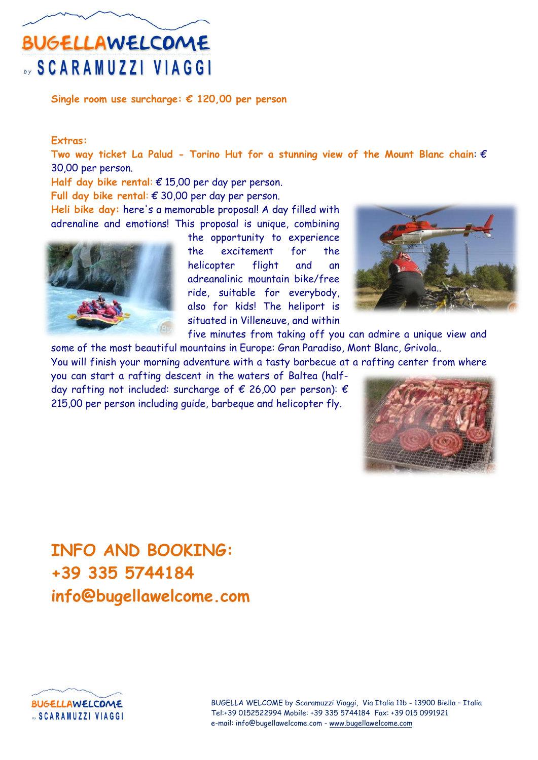**Single room use surcharge: € 120,00 per person**

#### **Extras:**

**Two way ticket La Palud - Torino Hut for a stunning view of the Mount Blanc chain**: € 30,00 per person.

**Half day bike rental**: € 15,00 per day per person.

**Full day bike rental**: € 30,00 per day per person.

**Heli bike day:** here's a memorable proposal! A day filled with adrenaline and emotions! This proposal is unique, combining



the opportunity to experience the excitement for the helicopter flight and an adreanalinic mountain bike/free ride, suitable for everybody, also for kids! The heliport is situated in Villeneuve, and within



five minutes from taking off you can admire a unique view and some of the most beautiful mountains in Europe: Gran Paradiso, Mont Blanc, Grivola..

You will finish your morning adventure with a tasty barbecue at a rafting center from where

you can start a rafting descent in the waters of Baltea (halfday rafting not included: surcharge of  $\epsilon$  26,00 per person):  $\epsilon$ 215,00 per person including guide, barbeque and helicopter fly.



### **INFO AND BOOKING: +39 335 5744184 info@bugellawelcome.com**



BUGELLA WELCOME by Scaramuzzi Viaggi, Via Italia 11b - 13900 Biella – Italia Tel:+39 0152522994 Mobile: +39 335 5744184 Fax: +39 015 0991921 e-mail: info@bugellawelcome.com - www.bugellawelcome.com